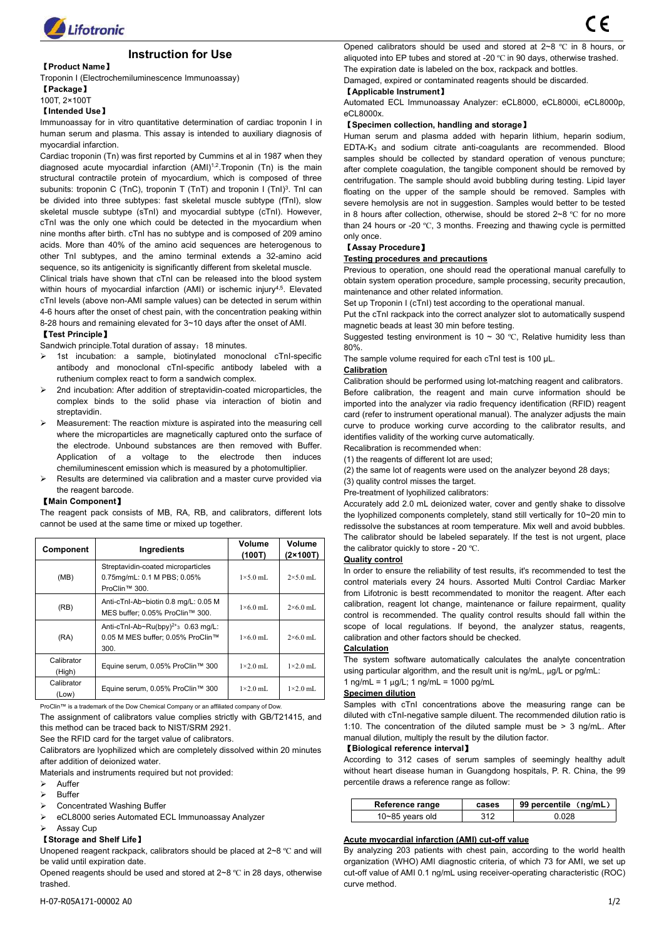

# **Instruction for Use**

# 【**Product Name**】

Troponin I (Electrochemiluminescence Immunoassay)

【**Package**】

# 100T, 2×100T

## 【**Intended Use**】

Immunoassay for in vitro quantitative determination of cardiac troponin I in human serum and plasma. This assay is intended to auxiliary diagnosis of myocardial infarction.

Cardiac troponin (Tn) was first reported by Cummins et al in 1987 when they diagnosed acute myocardial infarction  $(AMI)^{1,2}$ . Troponin (Tn) is the main after complete co structural contractile protein of myocardium, which is composed of three subunits: troponin C (TnC), troponin T (TnT) and troponin I (TnI)<sup>3</sup>. TnI can be divided into three subtypes: fast skeletal muscle subtype (fTnI), slow skeletal muscle subtype (sTnI) and myocardial subtype (cTnI). However, cTnI was the only one which could be detected in the myocardium when nine months after birth. cTnI has no subtype and is composed of 209 amino acids. More than 40% of the amino acid sequences are heterogenous to other TnI subtypes, and the amino terminal extends a 32-amino acid sequence, so its antigenicity is significantly different from skeletal muscle.

Clinical trials have shown that cTnI can be released into the blood system within hours of myocardial infarction (AMI) or ischemic injury<sup>4,5</sup>. Elevated  $_{\text{mag}}$ cTnI levels (above non-AMI sample values) can be detected in serum within 4-6 hours after the onset of chest pain, with the concentration peaking within 8-28 hours and remaining elevated for 3~10 days after the onset of AMI.

# 【**Test Principle**】

Sandwich principle. Total duration of assay: 18 minutes.

- 1st incubation: a sample, biotinylated monoclonal cTnI-specific antibody and monoclonal cTnI-specific antibody labeled with a ruthenium complex react to form a sandwich complex.
- 2nd incubation: After addition of streptavidin-coated microparticles, the complex binds to the solid phase via interaction of biotin and streptavidin.
- Measurement: The reaction mixture is aspirated into the measuring cell where the microparticles are magnetically captured onto the surface of the electrode. Unbound substances are then removed with Buffer. Application of a voltage to the electrode then induces chemiluminescent emission which is measured by a photomultiplier.
- Results are determined via calibration and a master curve provided via the reagent barcode.

#### 【**Main Component**】

The reagent pack consists of MB, RA, RB, and calibrators, different lots cannot be used at the same time or mixed up together.

| Component            | Ingredients                                                                        | Volume<br>(100T) | Volume<br>$(2 \times 100T)$ |
|----------------------|------------------------------------------------------------------------------------|------------------|-----------------------------|
| (MB)                 | Streptavidin-coated microparticles<br>0.75mg/mL: 0.1 M PBS; 0.05%<br>ProClin™ 300. | $1\times5.0$ mL  | $2\times5.0$ mL             |
| (RB)                 | Anti-cTnl-Ab~biotin 0.8 mg/L: 0.05 M<br>MES buffer: 0.05% ProClin™ 300.            | $1\times6.0$ mL  | $2\times6.0$ mL             |
| (RA)                 | Anti-cTnl-Ab~Ru(bpy) $2+3$ 0.63 mg/L:<br>0.05 M MES buffer: 0.05% ProClin™<br>300. | $1\times6.0$ mL  | $2\times60$ mL              |
| Calibrator<br>(High) | Equine serum, 0.05% ProClin™ 300                                                   | $1\times2.0$ mL  | $1\times2.0$ mL             |
| Calibrator<br>(Low)  | Equine serum, 0.05% ProClin™ 300                                                   | $1\times2.0$ mL  | $1\times2.0$ mL             |

ProClin™ is a trademark of the Dow Chemical Company or an affiliated company of Dow. this method can be traced back to NIST/SRM 2921.

See the RFID card for the target value of calibrators.

Calibrators are lyophilized which are completely dissolved within 20 minutes after addition of deionized water.

Materials and instruments required but not provided:

- $\triangleright$  Auffer
- Buffer
- ▶ Concentrated Washing Buffer
- eCL8000 series Automated ECL Immunoassay Analyzer
- Assay Cup

# 【**Storage and Shelf Life**】

Unopened reagent rackpack, calibrators should be placed at 2~8 ºC and will be valid until expiration date.

Opened reagents should be used and stored at 2~8 ºC in 28 days, otherwise trashed.

Opened calibrators should be used and stored at 2~8 ºC in 8 hours, or aliquoted into EP tubes and stored at -20 ºC in 90 days, otherwise trashed. The expiration date is labeled on the box, rackpack and bottles.

Damaged, expired or contaminated reagents should be discarded.

# 【**Applicable Instrument**】

Automated ECL Immunoassay Analyzer: eCL8000, eCL8000i, eCL8000p, eCL8000x

# 【**Specimen collection, handling and storage**】

. TnI can floating on the upper of the sample should be removed. Samples with Human serum and plasma added with heparin lithium, heparin sodium, EDTA-K<sup>3</sup> and sodium citrate anti-coagulants are recommended. Blood samples should be collected by standard operation of venous puncture; after complete coagulation, the tangible component should be removed by centrifugation. The sample should avoid bubbling during testing. Lipid layer severe hemolysis are not in suggestion. Samples would better to be tested in 8 hours after collection, otherwise, should be stored 2~8 ºC for no more than 24 hours or -20  $^{\circ}$ C, 3 months. Freezing and thawing cycle is permitted only once.

## 【**Assay Procedure**】

# **Testing procedures and precautions**

. Elevated maintenance and other related information. Previous to operation, one should read the operational manual carefully to obtain system operation procedure, sample processing, security precaution,

Set up Troponin I (cTnI) test according to the operational manual.

Put the cTnI rackpack into the correct analyzer slot to automatically suspend magnetic beads at least 30 min before testing.

Suggested testing environment is 10  $\sim$  30 °C, Relative humidity less than 80%.

The sample volume required for each cTnI test is 100 μL.

#### **Calibration**

Calibration should be performed using lot-matching reagent and calibrators. Before calibration, the reagent and main curve information should be imported into the analyzer via radio frequency identification (RFID) reagent card (refer to instrument operational manual). The analyzer adjusts the main curve to produce working curve according to the calibrator results, and identifies validity of the working curve automatically.

Recalibration is recommended when:

(1) the reagents of different lot are used:

(2) the same lot of reagents were used on the analyzer beyond 28 days;

(3) quality control misses the target.

Pre-treatment of lyophilized calibrators:

**Volume**<br>
the calibrator quickly to store - 20 °C. Accurately add 2.0 mL deionized water, cover and gently shake to dissolve the lyophilized components completely, stand still vertically for 10~20 min to redissolve the substances at room temperature. Mix well and avoid bubbles. The calibrator should be labeled separately. If the test is not urgent, place

# **(2×100T) Quality control**

MES buffer; 0.05% ProClin™ 300.  $1 \times 6.0$  mL  $2 \times 6.0$  mL control is recommended. The quality control results should fall within the In order to ensure the reliability of test results, it's recommended to test the control materials every 24 hours. Assorted Multi Control Cardiac Marker from Lifotronic is bestt recommendated to monitor the reagent. After each calibration, reagent lot change, maintenance or failure repairment, quality scope of local regulations. If beyond, the analyzer status, reagents, calibration and other factors should be checked.

#### **Calculation**

Equine serum, 0.05% ProClin™ 300  $\vert$  1×2.0 mL  $\vert$  1×2.0 mL using particular algorithm, and the result unit is ng/mL, µg/L or pg/mL: The system software automatically calculates the analyte concentration 1 ng/mL =  $1 \mu$ g/L; 1 ng/mL =  $1000 \mu$ 

The assignment of calibrators value complies strictly with GB/T21415, and diluted with cTnI-negative sample diluent. The recommended dilution ratio is Samples with cTnI concentrations above the measuring range can be 1:10. The concentration of the diluted sample must be  $> 3$  ng/mL. After manual dilution, multiply the result by the dilution factor.

#### 【**Biological reference interval**】

According to 312 cases of serum samples of seemingly healthy adult without heart disease human in Guangdong hospitals, P. R. China, the 99 percentile draws a reference range as follow:

| Reference range     | cases             | 99 percentile<br>.na/mL |
|---------------------|-------------------|-------------------------|
| $10 - 85$ years old | <b>010</b><br>◡⊢∠ | 028.ر                   |

# **Acute myocardial infarction (AMI) cut-off value**

By analyzing 203 patients with chest pain, according to the world health organization (WHO) AMI diagnostic criteria, of which 73 for AMI, we set up cut-off value of AMI 0.1 ng/mL using receiver-operating characteristic (ROC) curve method.